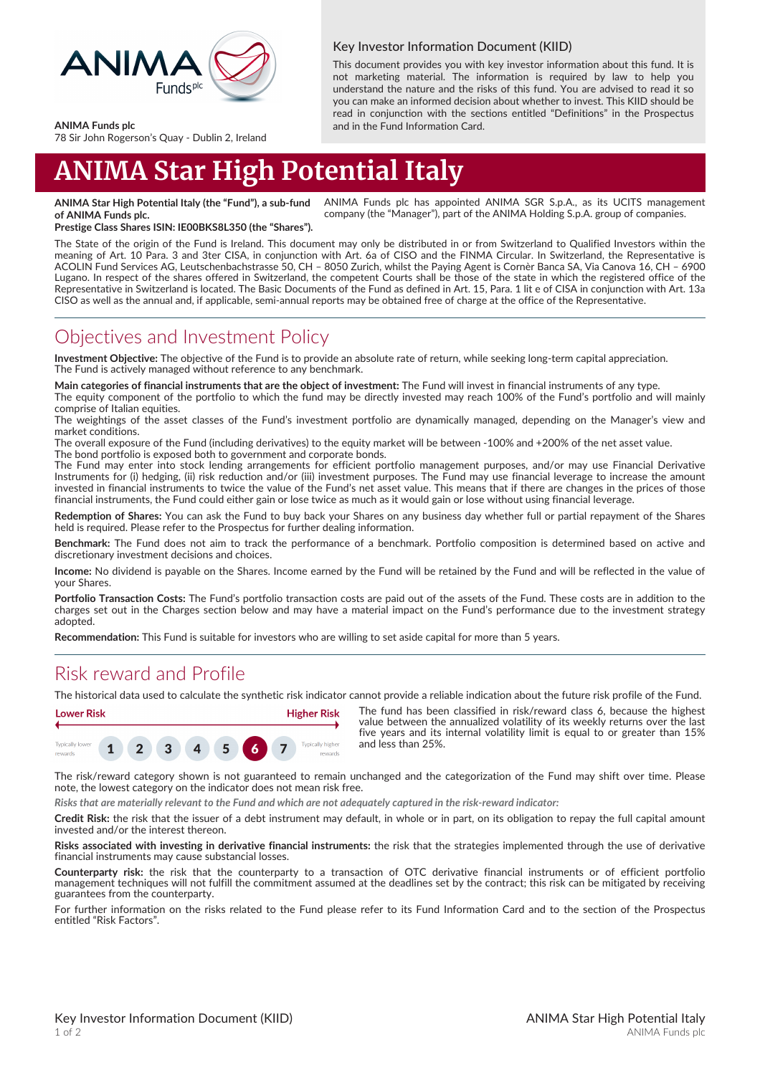

#### Key Investor Information Document (KIID)

This document provides you with key investor information about this fund. It is not marketing material. The information is required by law to help you understand the nature and the risks of this fund. You are advised to read it so you can make an informed decision about whether to invest. This KIID should be read in conjunction with the sections entitled "Definitions" in the Prospectus and in the Fund Information Card.

**ANIMA Funds plc**

78 Sir John Rogerson's Quay - Dublin 2, Ireland

# **ANIMA Star High Potential Italy**

**ANIMA Star High Potential Italy (the "Fund"), a sub-fund of ANIMA Funds plc.** ANIMA Funds plc has appointed ANIMA SGR S.p.A., as its UCITS management company (the "Manager"), part of the ANIMA Holding S.p.A. group of companies.

**Prestige Class Shares ISIN: IE00BKS8L350 (the "Shares").**

The State of the origin of the Fund is Ireland. This document may only be distributed in or from Switzerland to Qualified Investors within the meaning of Art. 10 Para. 3 and 3ter CISA, in conjunction with Art. 6a of CISO and the FINMA Circular. In Switzerland, the Representative is ACOLIN Fund Services AG, Leutschenbachstrasse 50, CH – 8050 Zurich, whilst the Paying Agent is Cornèr Banca SA, Via Canova 16, CH – 6900 Lugano. In respect of the shares offered in Switzerland, the competent Courts shall be those of the state in which the registered office of the Representative in Switzerland is located. The Basic Documents of the Fund as defined in Art. 15, Para. 1 lit e of CISA in conjunction with Art. 13a CISO as well as the annual and, if applicable, semi-annual reports may be obtained free of charge at the office of the Representative.

#### Objectives and Investment Policy

**Investment Objective:** The objective of the Fund is to provide an absolute rate of return, while seeking long-term capital appreciation. The Fund is actively managed without reference to any benchmark.

**Main categories of financial instruments that are the object of investment:** The Fund will invest in financial instruments of any type.

The equity component of the portfolio to which the fund may be directly invested may reach 100% of the Fund's portfolio and will mainly comprise of Italian equities.

The weightings of the asset classes of the Fund's investment portfolio are dynamically managed, depending on the Manager's view and market conditions.

The overall exposure of the Fund (including derivatives) to the equity market will be between -100% and +200% of the net asset value.

The bond portfolio is exposed both to government and corporate bonds. The Fund may enter into stock lending arrangements for efficient portfolio management purposes, and/or may use Financial Derivative Instruments for (i) hedging, (ii) risk reduction and/or (iii) investment purposes. The Fund may use financial leverage to increase the amount invested in financial instruments to twice the value of the Fund's net asset value. This means that if there are changes in the prices of those financial instruments, the Fund could either gain or lose twice as much as it would gain or lose without using financial leverage.

**Redemption of Shares:** You can ask the Fund to buy back your Shares on any business day whether full or partial repayment of the Shares held is required. Please refer to the Prospectus for further dealing information.

**Benchmark:** The Fund does not aim to track the performance of a benchmark. Portfolio composition is determined based on active and discretionary investment decisions and choices.

**Income:** No dividend is payable on the Shares. Income earned by the Fund will be retained by the Fund and will be reflected in the value of your Shares.

**Portfolio Transaction Costs:** The Fund's portfolio transaction costs are paid out of the assets of the Fund. These costs are in addition to the charges set out in the Charges section below and may have a material impact on the Fund's performance due to the investment strategy adopted.

**Recommendation:** This Fund is suitable for investors who are willing to set aside capital for more than 5 years.

## Risk reward and Profile

The historical data used to calculate the synthetic risk indicator cannot provide a reliable indication about the future risk profile of the Fund.



The fund has been classified in risk/reward class 6, because the highest value between the annualized volatility of its weekly returns over the last five years and its internal volatility limit is equal to or greater than 15% and less than 25%.

The risk/reward category shown is not guaranteed to remain unchanged and the categorization of the Fund may shift over time. Please note, the lowest category on the indicator does not mean risk free.

*Risks that are materially relevant to the Fund and which are not adequately captured in the risk-reward indicator:*

**Credit Risk:** the risk that the issuer of a debt instrument may default, in whole or in part, on its obligation to repay the full capital amount invested and/or the interest thereon.

**Risks associated with investing in derivative financial instruments:** the risk that the strategies implemented through the use of derivative financial instruments may cause substancial losses.

**Counterparty risk:** the risk that the counterparty to a transaction of OTC derivative financial instruments or of efficient portfolio management techniques will not fulfill the commitment assumed at the deadlines set by the contract; this risk can be mitigated by receiving guarantees from the counterparty.

For further information on the risks related to the Fund please refer to its Fund Information Card and to the section of the Prospectus entitled "Risk Factors".